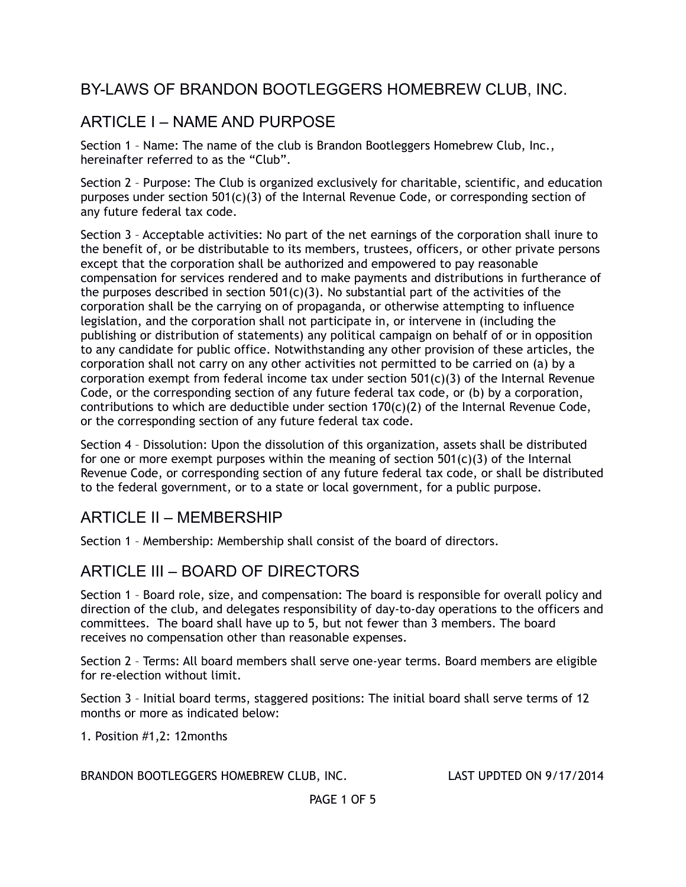## BY-LAWS OF BRANDON BOOTLEGGERS HOMEBREW CLUB, INC.

# ARTICLE I – NAME AND PURPOSE

Section 1 – Name: The name of the club is Brandon Bootleggers Homebrew Club, Inc., hereinafter referred to as the "Club".

Section 2 – Purpose: The Club is organized exclusively for charitable, scientific, and education purposes under section 501(c)(3) of the Internal Revenue Code, or corresponding section of any future federal tax code.

Section 3 – Acceptable activities: No part of the net earnings of the corporation shall inure to the benefit of, or be distributable to its members, trustees, officers, or other private persons except that the corporation shall be authorized and empowered to pay reasonable compensation for services rendered and to make payments and distributions in furtherance of the purposes described in section  $501(c)(3)$ . No substantial part of the activities of the corporation shall be the carrying on of propaganda, or otherwise attempting to influence legislation, and the corporation shall not participate in, or intervene in (including the publishing or distribution of statements) any political campaign on behalf of or in opposition to any candidate for public office. Notwithstanding any other provision of these articles, the corporation shall not carry on any other activities not permitted to be carried on (a) by a corporation exempt from federal income tax under section  $501(c)(3)$  of the Internal Revenue Code, or the corresponding section of any future federal tax code, or (b) by a corporation, contributions to which are deductible under section  $170(c)(2)$  of the Internal Revenue Code, or the corresponding section of any future federal tax code.

Section 4 – Dissolution: Upon the dissolution of this organization, assets shall be distributed for one or more exempt purposes within the meaning of section  $501(c)(3)$  of the Internal Revenue Code, or corresponding section of any future federal tax code, or shall be distributed to the federal government, or to a state or local government, for a public purpose.

### ARTICLE II – MEMBERSHIP

Section 1 – Membership: Membership shall consist of the board of directors.

### ARTICLE III – BOARD OF DIRECTORS

Section 1 – Board role, size, and compensation: The board is responsible for overall policy and direction of the club, and delegates responsibility of day-to-day operations to the officers and committees. The board shall have up to 5, but not fewer than 3 members. The board receives no compensation other than reasonable expenses.

Section 2 – Terms: All board members shall serve one-year terms. Board members are eligible for re-election without limit.

Section 3 – Initial board terms, staggered positions: The initial board shall serve terms of 12 months or more as indicated below:

1. Position #1,2: 12months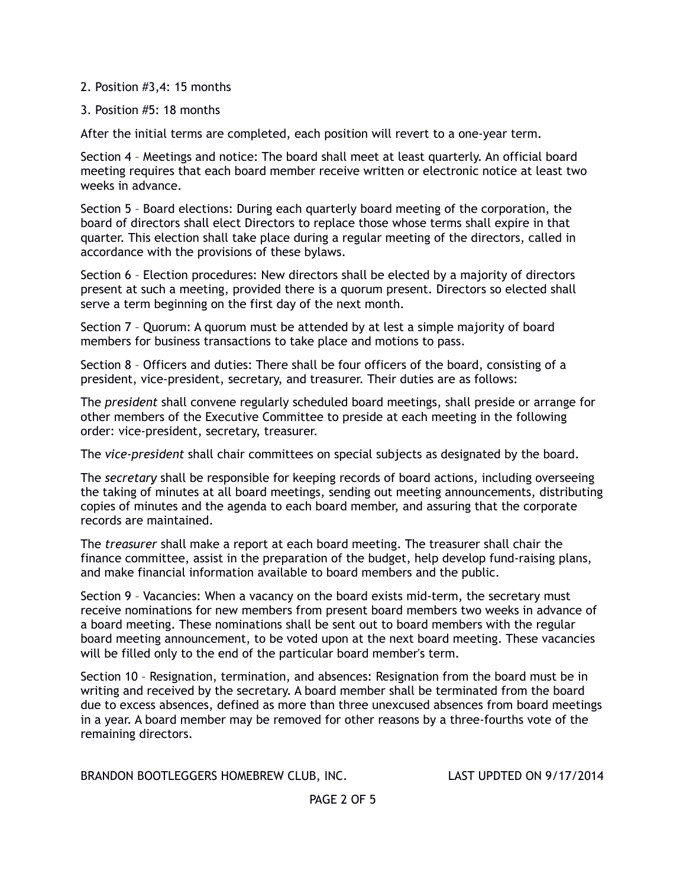#### 2. Position #3,4: 15 months

#### 3. Position #5: 18 months

After the initial terms are completed, each position will revert to a one-year term.

Section 4 – Meetings and notice: The board shall meet at least quarterly. An official board meeting requires that each board member receive written or electronic notice at least two weeks in advance.

Section 5 – Board elections: During each quarterly board meeting of the corporation, the board of directors shall elect Directors to replace those whose terms shall expire in that quarter. This election shall take place during a regular meeting of the directors, called in accordance with the provisions of these bylaws.

Section 6 – Election procedures: New directors shall be elected by a majority of directors present at such a meeting, provided there is a quorum present. Directors so elected shall serve a term beginning on the first day of the next month.

Section 7 – Quorum: A quorum must be attended by at lest a simple majority of board members for business transactions to take place and motions to pass.

Section 8 – Officers and duties: There shall be four officers of the board, consisting of a president, vice-president, secretary, and treasurer. Their duties are as follows:

The *president* shall convene regularly scheduled board meetings, shall preside or arrange for other members of the Executive Committee to preside at each meeting in the following order: vice-president, secretary, treasurer.

The *vice-president* shall chair committees on special subjects as designated by the board.

The *secretary* shall be responsible for keeping records of board actions, including overseeing the taking of minutes at all board meetings, sending out meeting announcements, distributing copies of minutes and the agenda to each board member, and assuring that the corporate records are maintained.

The *treasurer* shall make a report at each board meeting. The treasurer shall chair the finance committee, assist in the preparation of the budget, help develop fund-raising plans, and make financial information available to board members and the public.

Section 9 – Vacancies: When a vacancy on the board exists mid-term, the secretary must receive nominations for new members from present board members two weeks in advance of a board meeting. These nominations shall be sent out to board members with the regular board meeting announcement, to be voted upon at the next board meeting. These vacancies will be filled only to the end of the particular board member's term.

Section 10 – Resignation, termination, and absences: Resignation from the board must be in writing and received by the secretary. A board member shall be terminated from the board due to excess absences, defined as more than three unexcused absences from board meetings in a year. A board member may be removed for other reasons by a three-fourths vote of the remaining directors.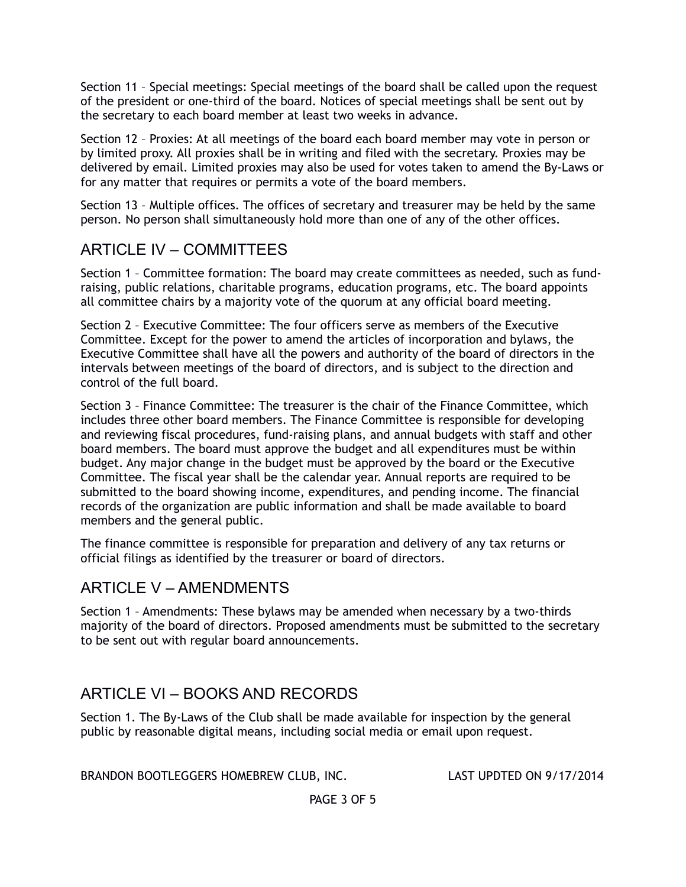Section 11 – Special meetings: Special meetings of the board shall be called upon the request of the president or one-third of the board. Notices of special meetings shall be sent out by the secretary to each board member at least two weeks in advance.

Section 12 – Proxies: At all meetings of the board each board member may vote in person or by limited proxy. All proxies shall be in writing and filed with the secretary. Proxies may be delivered by email. Limited proxies may also be used for votes taken to amend the By-Laws or for any matter that requires or permits a vote of the board members.

Section 13 – Multiple offices. The offices of secretary and treasurer may be held by the same person. No person shall simultaneously hold more than one of any of the other offices.

## ARTICLE IV – COMMITTEES

Section 1 – Committee formation: The board may create committees as needed, such as fundraising, public relations, charitable programs, education programs, etc. The board appoints all committee chairs by a majority vote of the quorum at any official board meeting.

Section 2 – Executive Committee: The four officers serve as members of the Executive Committee. Except for the power to amend the articles of incorporation and bylaws, the Executive Committee shall have all the powers and authority of the board of directors in the intervals between meetings of the board of directors, and is subject to the direction and control of the full board.

Section 3 – Finance Committee: The treasurer is the chair of the Finance Committee, which includes three other board members. The Finance Committee is responsible for developing and reviewing fiscal procedures, fund-raising plans, and annual budgets with staff and other board members. The board must approve the budget and all expenditures must be within budget. Any major change in the budget must be approved by the board or the Executive Committee. The fiscal year shall be the calendar year. Annual reports are required to be submitted to the board showing income, expenditures, and pending income. The financial records of the organization are public information and shall be made available to board members and the general public.

The finance committee is responsible for preparation and delivery of any tax returns or official filings as identified by the treasurer or board of directors.

### ARTICLE V – AMENDMENTS

Section 1 – Amendments: These bylaws may be amended when necessary by a two-thirds majority of the board of directors. Proposed amendments must be submitted to the secretary to be sent out with regular board announcements.

# ARTICLE VI – BOOKS AND RECORDS

Section 1. The By-Laws of the Club shall be made available for inspection by the general public by reasonable digital means, including social media or email upon request.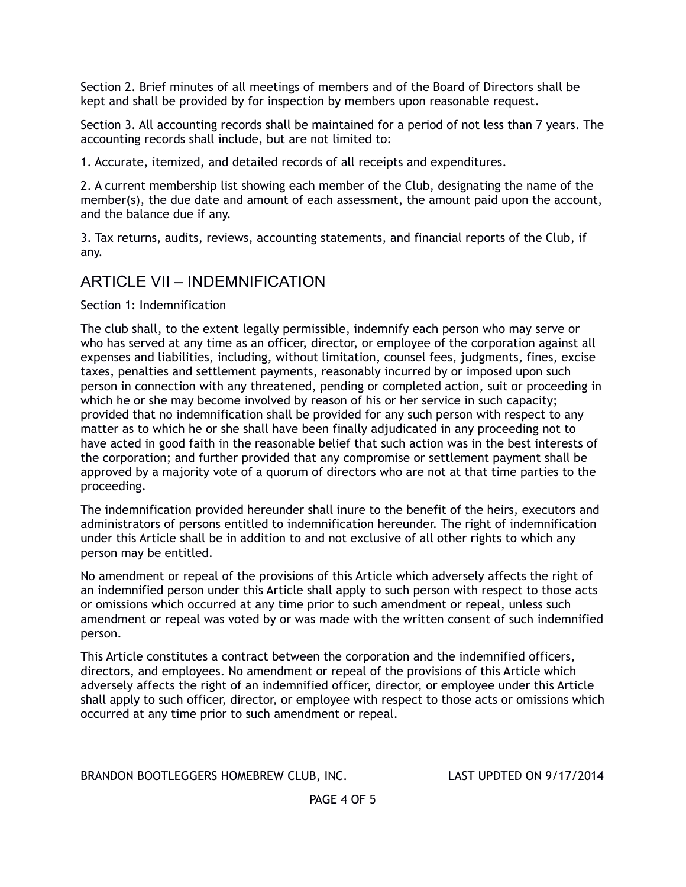Section 2. Brief minutes of all meetings of members and of the Board of Directors shall be kept and shall be provided by for inspection by members upon reasonable request.

Section 3. All accounting records shall be maintained for a period of not less than 7 years. The accounting records shall include, but are not limited to:

1. Accurate, itemized, and detailed records of all receipts and expenditures.

2. A current membership list showing each member of the Club, designating the name of the member(s), the due date and amount of each assessment, the amount paid upon the account, and the balance due if any.

3. Tax returns, audits, reviews, accounting statements, and financial reports of the Club, if any.

# ARTICLE VII – INDEMNIFICATION

Section 1: Indemnification

The club shall, to the extent legally permissible, indemnify each person who may serve or who has served at any time as an officer, director, or employee of the corporation against all expenses and liabilities, including, without limitation, counsel fees, judgments, fines, excise taxes, penalties and settlement payments, reasonably incurred by or imposed upon such person in connection with any threatened, pending or completed action, suit or proceeding in which he or she may become involved by reason of his or her service in such capacity; provided that no indemnification shall be provided for any such person with respect to any matter as to which he or she shall have been finally adjudicated in any proceeding not to have acted in good faith in the reasonable belief that such action was in the best interests of the corporation; and further provided that any compromise or settlement payment shall be approved by a majority vote of a quorum of directors who are not at that time parties to the proceeding.

The indemnification provided hereunder shall inure to the benefit of the heirs, executors and administrators of persons entitled to indemnification hereunder. The right of indemnification under this Article shall be in addition to and not exclusive of all other rights to which any person may be entitled.

No amendment or repeal of the provisions of this Article which adversely affects the right of an indemnified person under this Article shall apply to such person with respect to those acts or omissions which occurred at any time prior to such amendment or repeal, unless such amendment or repeal was voted by or was made with the written consent of such indemnified person.

This Article constitutes a contract between the corporation and the indemnified officers, directors, and employees. No amendment or repeal of the provisions of this Article which adversely affects the right of an indemnified officer, director, or employee under this Article shall apply to such officer, director, or employee with respect to those acts or omissions which occurred at any time prior to such amendment or repeal.